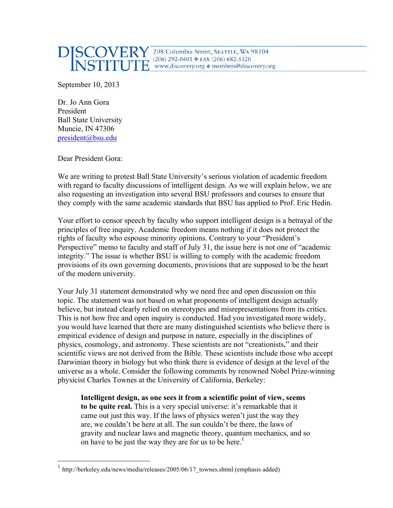

September 10, 2013

Dr. Jo Ann Gora President Ball State University Muncie, IN 47306 president@bsu.edu

Dear President Gora:

We are writing to protest Ball State University's serious violation of academic freedom with regard to faculty discussions of intelligent design. As we will explain below, we are also requesting an investigation into several BSU professors and courses to ensure that they comply with the same academic standards that BSU has applied to Prof. Eric Hedin.

Your effort to censor speech by faculty who support intelligent design is a betrayal of the principles of free inquiry. Academic freedom means nothing if it does not protect the rights of faculty who espouse minority opinions. Contrary to your "President's Perspective" memo to faculty and staff of July 31, the issue here is not one of "academic integrity." The issue is whether BSU is willing to comply with the academic freedom provisions of its own governing documents, provisions that are supposed to be the heart of the modern university.

Your July 31 statement demonstrated why we need free and open discussion on this topic. The statement was not based on what proponents of intelligent design actually believe, but instead clearly relied on stereotypes and misrepresentations from its critics. This is not how free and open inquiry is conducted. Had you investigated more widely, you would have learned that there are many distinguished scientists who believe there is empirical evidence of design and purpose in nature, especially in the disciplines of physics, cosmology, and astronomy. These scientists are not "creationists," and their scientific views are not derived from the Bible. These scientists include those who accept Darwinian theory in biology but who think there is evidence of design at the level of the universe as a whole. Consider the following comments by renowned Nobel Prize-winning physicist Charles Townes at the University of California, Berkeley:

**Intelligent design, as one sees it from a scientific point of view, seems to be quite real.** This is a very special universe: it's remarkable that it came out just this way. If the laws of physics weren't just the way they are, we couldn't be here at all. The sun couldn't be there, the laws of gravity and nuclear laws and magnetic theory, quantum mechanics, and so on have to be just the way they are for us to be here.<sup>1</sup>

http://berkeley.edu/news/media/releases/2005/06/17\_townes.shtml (emphasis added)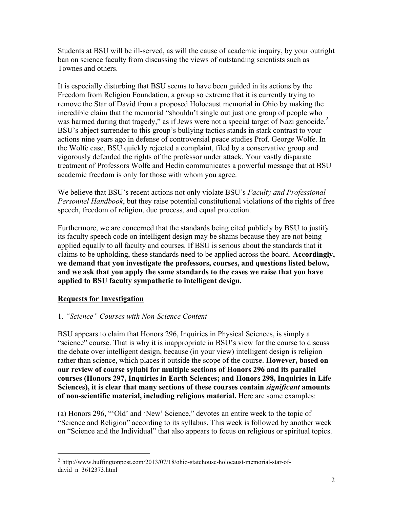Students at BSU will be ill-served, as will the cause of academic inquiry, by your outright ban on science faculty from discussing the views of outstanding scientists such as Townes and others.

It is especially disturbing that BSU seems to have been guided in its actions by the Freedom from Religion Foundation, a group so extreme that it is currently trying to remove the Star of David from a proposed Holocaust memorial in Ohio by making the incredible claim that the memorial "shouldn't single out just one group of people who was harmed during that tragedy," as if Jews were not a special target of Nazi genocide.<sup>2</sup> BSU's abject surrender to this group's bullying tactics stands in stark contrast to your actions nine years ago in defense of controversial peace studies Prof. George Wolfe. In the Wolfe case, BSU quickly rejected a complaint, filed by a conservative group and vigorously defended the rights of the professor under attack. Your vastly disparate treatment of Professors Wolfe and Hedin communicates a powerful message that at BSU academic freedom is only for those with whom you agree.

We believe that BSU's recent actions not only violate BSU's *Faculty and Professional Personnel Handbook*, but they raise potential constitutional violations of the rights of free speech, freedom of religion, due process, and equal protection.

Furthermore, we are concerned that the standards being cited publicly by BSU to justify its faculty speech code on intelligent design may be shams because they are not being applied equally to all faculty and courses. If BSU is serious about the standards that it claims to be upholding, these standards need to be applied across the board. **Accordingly, we demand that you investigate the professors, courses, and questions listed below, and we ask that you apply the same standards to the cases we raise that you have applied to BSU faculty sympathetic to intelligent design.**

## **Requests for Investigation**

 

### 1. *"Science" Courses with Non-Science Content*

BSU appears to claim that Honors 296, Inquiries in Physical Sciences, is simply a "science" course. That is why it is inappropriate in BSU's view for the course to discuss the debate over intelligent design, because (in your view) intelligent design is religion rather than science, which places it outside the scope of the course. **However, based on our review of course syllabi for multiple sections of Honors 296 and its parallel courses (Honors 297, Inquiries in Earth Sciences; and Honors 298, Inquiries in Life Sciences), it is clear that many sections of these courses contain** *significant* **amounts of non-scientific material, including religious material.** Here are some examples:

(a) Honors 296, "'Old' and 'New' Science," devotes an entire week to the topic of "Science and Religion" according to its syllabus. This week is followed by another week on "Science and the Individual" that also appears to focus on religious or spiritual topics.

<sup>2</sup> http://www.huffingtonpost.com/2013/07/18/ohio-statehouse-holocaust-memorial-star-ofdavid\_n\_3612373.html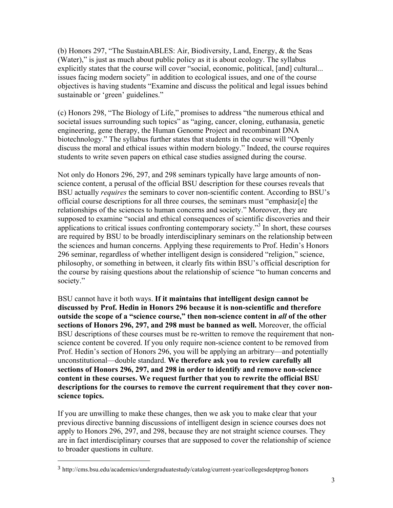(b) Honors 297, "The SustainABLES: Air, Biodiversity, Land, Energy, & the Seas (Water)," is just as much about public policy as it is about ecology. The syllabus explicitly states that the course will cover "social, economic, political, [and] cultural... issues facing modern society" in addition to ecological issues, and one of the course objectives is having students "Examine and discuss the political and legal issues behind sustainable or 'green' guidelines."

(c) Honors 298, "The Biology of Life," promises to address "the numerous ethical and societal issues surrounding such topics" as "aging, cancer, cloning, euthanasia, genetic engineering, gene therapy, the Human Genome Project and recombinant DNA biotechnology." The syllabus further states that students in the course will "Openly discuss the moral and ethical issues within modern biology." Indeed, the course requires students to write seven papers on ethical case studies assigned during the course.

Not only do Honors 296, 297, and 298 seminars typically have large amounts of nonscience content, a perusal of the official BSU description for these courses reveals that BSU actually *requires* the seminars to cover non-scientific content. According to BSU's official course descriptions for all three courses, the seminars must "emphasiz[e] the relationships of the sciences to human concerns and society." Moreover, they are supposed to examine "social and ethical consequences of scientific discoveries and their applications to critical issues confronting contemporary society.<sup> $3$ </sup> In short, these courses are required by BSU to be broadly interdisciplinary seminars on the relationship between the sciences and human concerns. Applying these requirements to Prof. Hedin's Honors 296 seminar, regardless of whether intelligent design is considered "religion," science, philosophy, or something in between, it clearly fits within BSU's official description for the course by raising questions about the relationship of science "to human concerns and society."

BSU cannot have it both ways. **If it maintains that intelligent design cannot be discussed by Prof. Hedin in Honors 296 because it is non-scientific and therefore outside the scope of a "science course," then non-science content in** *all* **of the other sections of Honors 296, 297, and 298 must be banned as well.** Moreover, the official BSU descriptions of these courses must be re-written to remove the requirement that nonscience content be covered. If you only require non-science content to be removed from Prof. Hedin's section of Honors 296, you will be applying an arbitrary—and potentially unconstitutional—double standard. **We therefore ask you to review carefully all sections of Honors 296, 297, and 298 in order to identify and remove non-science content in these courses. We request further that you to rewrite the official BSU descriptions for the courses to remove the current requirement that they cover nonscience topics.**

If you are unwilling to make these changes, then we ask you to make clear that your previous directive banning discussions of intelligent design in science courses does not apply to Honors 296, 297, and 298, because they are not straight science courses. They are in fact interdisciplinary courses that are supposed to cover the relationship of science to broader questions in culture.

 

<sup>3</sup> http://cms.bsu.edu/academics/undergraduatestudy/catalog/current-year/collegesdeptprog/honors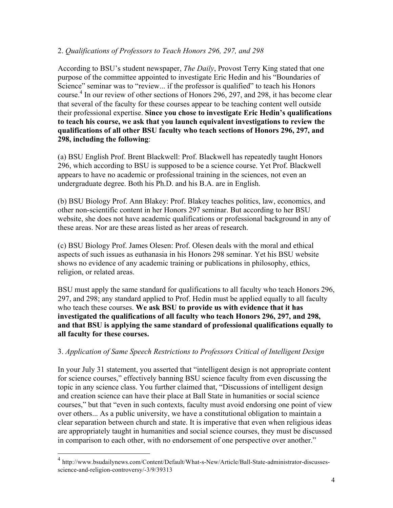### 2. *Qualifications of Professors to Teach Honors 296, 297, and 298*

According to BSU's student newspaper, *The Daily*, Provost Terry King stated that one purpose of the committee appointed to investigate Eric Hedin and his "Boundaries of Science" seminar was to "review... if the professor is qualified" to teach his Honors course.<sup>4</sup> In our review of other sections of Honors 296, 297, and 298, it has become clear that several of the faculty for these courses appear to be teaching content well outside their professional expertise. **Since you chose to investigate Eric Hedin's qualifications to teach his course, we ask that you launch equivalent investigations to review the qualifications of all other BSU faculty who teach sections of Honors 296, 297, and 298, including the following**:

(a) BSU English Prof. Brent Blackwell: Prof. Blackwell has repeatedly taught Honors 296, which according to BSU is supposed to be a science course. Yet Prof. Blackwell appears to have no academic or professional training in the sciences, not even an undergraduate degree. Both his Ph.D. and his B.A. are in English.

(b) BSU Biology Prof. Ann Blakey: Prof. Blakey teaches politics, law, economics, and other non-scientific content in her Honors 297 seminar. But according to her BSU website, she does not have academic qualifications or professional background in any of these areas. Nor are these areas listed as her areas of research.

(c) BSU Biology Prof. James Olesen: Prof. Olesen deals with the moral and ethical aspects of such issues as euthanasia in his Honors 298 seminar. Yet his BSU website shows no evidence of any academic training or publications in philosophy, ethics, religion, or related areas.

BSU must apply the same standard for qualifications to all faculty who teach Honors 296, 297, and 298; any standard applied to Prof. Hedin must be applied equally to all faculty who teach these courses. **We ask BSU to provide us with evidence that it has investigated the qualifications of all faculty who teach Honors 296, 297, and 298, and that BSU is applying the same standard of professional qualifications equally to all faculty for these courses.**

### 3. *Application of Same Speech Restrictions to Professors Critical of Intelligent Design*

In your July 31 statement, you asserted that "intelligent design is not appropriate content for science courses," effectively banning BSU science faculty from even discussing the topic in any science class. You further claimed that, "Discussions of intelligent design and creation science can have their place at Ball State in humanities or social science courses," but that "even in such contexts, faculty must avoid endorsing one point of view over others... As a public university, we have a constitutional obligation to maintain a clear separation between church and state. It is imperative that even when religious ideas are appropriately taught in humanities and social science courses, they must be discussed in comparison to each other, with no endorsement of one perspective over another."

 <sup>4</sup> http://www.bsudailynews.com/Content/Default/What-s-New/Article/Ball-State-administrator-discussesscience-and-religion-controversy/-3/9/39313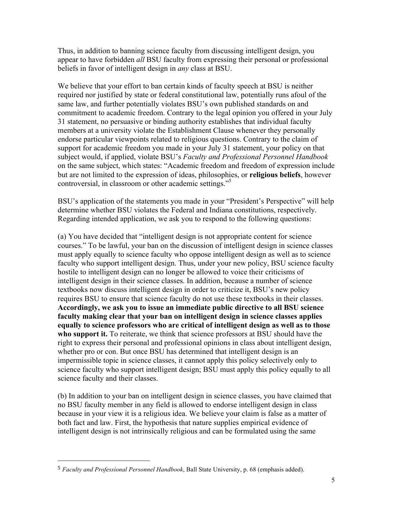Thus, in addition to banning science faculty from discussing intelligent design, you appear to have forbidden *all* BSU faculty from expressing their personal or professional beliefs in favor of intelligent design in *any* class at BSU.

We believe that your effort to ban certain kinds of faculty speech at BSU is neither required nor justified by state or federal constitutional law, potentially runs afoul of the same law, and further potentially violates BSU's own published standards on and commitment to academic freedom. Contrary to the legal opinion you offered in your July 31 statement, no persuasive or binding authority establishes that individual faculty members at a university violate the Establishment Clause whenever they personally endorse particular viewpoints related to religious questions. Contrary to the claim of support for academic freedom you made in your July 31 statement, your policy on that subject would, if applied, violate BSU's *Faculty and Professional Personnel Handbook* on the same subject, which states: "Academic freedom and freedom of expression include but are not limited to the expression of ideas, philosophies, or **religious beliefs**, however controversial, in classroom or other academic settings." 5

BSU's application of the statements you made in your "President's Perspective" will help determine whether BSU violates the Federal and Indiana constitutions, respectively. Regarding intended application, we ask you to respond to the following questions:

(a) You have decided that "intelligent design is not appropriate content for science courses." To be lawful, your ban on the discussion of intelligent design in science classes must apply equally to science faculty who oppose intelligent design as well as to science faculty who support intelligent design. Thus, under your new policy, BSU science faculty hostile to intelligent design can no longer be allowed to voice their criticisms of intelligent design in their science classes. In addition, because a number of science textbooks now discuss intelligent design in order to criticize it, BSU's new policy requires BSU to ensure that science faculty do not use these textbooks in their classes. **Accordingly, we ask you to issue an immediate public directive to all BSU science faculty making clear that your ban on intelligent design in science classes applies equally to science professors who are critical of intelligent design as well as to those who support it.** To reiterate, we think that science professors at BSU should have the right to express their personal and professional opinions in class about intelligent design, whether pro or con. But once BSU has determined that intelligent design is an impermissible topic in science classes, it cannot apply this policy selectively only to science faculty who support intelligent design; BSU must apply this policy equally to all science faculty and their classes.

(b) In addition to your ban on intelligent design in science classes, you have claimed that no BSU faculty member in any field is allowed to endorse intelligent design in class because in your view it is a religious idea. We believe your claim is false as a matter of both fact and law. First, the hypothesis that nature supplies empirical evidence of intelligent design is not intrinsically religious and can be formulated using the same

 

<sup>5</sup> *Faculty and Professional Personnel Handbook*, Ball State University, p. 68 (emphasis added).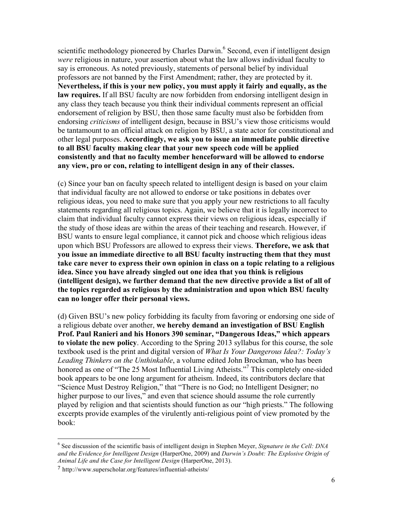scientific methodology pioneered by Charles Darwin.<sup>6</sup> Second, even if intelligent design *were* religious in nature, your assertion about what the law allows individual faculty to say is erroneous. As noted previously, statements of personal belief by individual professors are not banned by the First Amendment; rather, they are protected by it. **Nevertheless, if this is your new policy, you must apply it fairly and equally, as the law requires.** If all BSU faculty are now forbidden from endorsing intelligent design in any class they teach because you think their individual comments represent an official endorsement of religion by BSU, then those same faculty must also be forbidden from endorsing *criticisms* of intelligent design, because in BSU's view those criticisms would be tantamount to an official attack on religion by BSU, a state actor for constitutional and other legal purposes. **Accordingly, we ask you to issue an immediate public directive to all BSU faculty making clear that your new speech code will be applied consistently and that no faculty member henceforward will be allowed to endorse any view, pro or con, relating to intelligent design in any of their classes.**

(c) Since your ban on faculty speech related to intelligent design is based on your claim that individual faculty are not allowed to endorse or take positions in debates over religious ideas, you need to make sure that you apply your new restrictions to all faculty statements regarding all religious topics. Again, we believe that it is legally incorrect to claim that individual faculty cannot express their views on religious ideas, especially if the study of those ideas are within the areas of their teaching and research. However, if BSU wants to ensure legal compliance, it cannot pick and choose which religious ideas upon which BSU Professors are allowed to express their views. **Therefore, we ask that you issue an immediate directive to all BSU faculty instructing them that they must take care never to express their own opinion in class on a topic relating to a religious idea. Since you have already singled out one idea that you think is religious (intelligent design), we further demand that the new directive provide a list of all of the topics regarded as religious by the administration and upon which BSU faculty can no longer offer their personal views.**

(d) Given BSU's new policy forbidding its faculty from favoring or endorsing one side of a religious debate over another, **we hereby demand an investigation of BSU English Prof. Paul Ranieri and his Honors 390 seminar, "Dangerous Ideas," which appears to violate the new policy**. According to the Spring 2013 syllabus for this course, the sole textbook used is the print and digital version of *What Is Your Dangerous Idea?: Today's Leading Thinkers on the Unthinkable*, a volume edited John Brockman, who has been honored as one of "The 25 Most Influential Living Atheists."<sup>7</sup> This completely one-sided book appears to be one long argument for atheism. Indeed, its contributors declare that "Science Must Destroy Religion," that "There is no God; no Intelligent Designer; no higher purpose to our lives," and even that science should assume the role currently played by religion and that scientists should function as our "high priests." The following excerpts provide examples of the virulently anti-religious point of view promoted by the book:

 <sup>6</sup> See discussion of the scientific basis of intelligent design in Stephen Meyer, *Signature in the Cell: DNA and the Evidence for Intelligent Design* (HarperOne, 2009) and *Darwin's Doubt: The Explosive Origin of Animal Life and the Case for Intelligent Design* (HarperOne, 2013).

<sup>7</sup> http://www.superscholar.org/features/influential-atheists/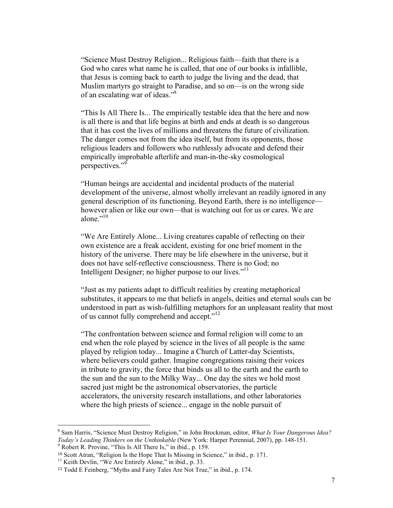"Science Must Destroy Religion... Religious faith—faith that there is a God who cares what name he is called, that one of our books is infallible, that Jesus is coming back to earth to judge the living and the dead, that Muslim martyrs go straight to Paradise, and so on—is on the wrong side of an escalating war of ideas."<sup>8</sup>

"This Is All There Is... The empirically testable idea that the here and now is all there is and that life begins at birth and ends at death is so dangerous that it has cost the lives of millions and threatens the future of civilization. The danger comes not from the idea itself, but from its opponents, those religious leaders and followers who ruthlessly advocate and defend their empirically improbable afterlife and man-in-the-sky cosmological perspectives."<sup>9</sup>

"Human beings are accidental and incidental products of the material development of the universe, almost wholly irrelevant an readily ignored in any general description of its functioning. Beyond Earth, there is no intelligence however alien or like our own—that is watching out for us or cares. We are alone $"$ <sup>10</sup>

"We Are Entirely Alone... Living creatures capable of reflecting on their own existence are a freak accident, existing for one brief moment in the history of the universe. There may be life elsewhere in the universe, but it does not have self-reflective consciousness. There is no God; no Intelligent Designer; no higher purpose to our lives."<sup>11</sup>

"Just as my patients adapt to difficult realities by creating metaphorical substitutes, it appears to me that beliefs in angels, deities and eternal souls can be understood in part as wish-fulfilling metaphors for an unpleasant reality that most of us cannot fully comprehend and accept."<sup>12</sup>

"The confrontation between science and formal religion will come to an end when the role played by science in the lives of all people is the same played by religion today... Imagine a Church of Latter-day Scientists, where believers could gather. Imagine congregations raising their voices in tribute to gravity, the force that binds us all to the earth and the earth to the sun and the sun to the Milky Way... One day the sites we hold most sacred just might be the astronomical observatories, the particle accelerators, the university research installations, and other laboratories where the high priests of science... engage in the noble pursuit of

 <sup>8</sup> Sam Harris, "Science Must Destroy Religion," in John Brockman, editor, *What Is Your Dangerous Idea? Today's Leading Thinkers on the Unthinkable* (New York: Harper Perennial, 2007), pp. 148-151.<br><sup>9</sup> Robert R. Provine, "This Is All There Is," in ibid., p. 159.

<sup>&</sup>lt;sup>10</sup> Scott Atran, "Religion Is the Hope That Is Missing in Science," in ibid., p. 171.<br><sup>11</sup> Keith Devlin, "We Are Entirely Alone," in ibid., p. 33.

<sup>12</sup> Todd E Feinberg, "Myths and Fairy Tales Are Not True," in ibid., p. 174.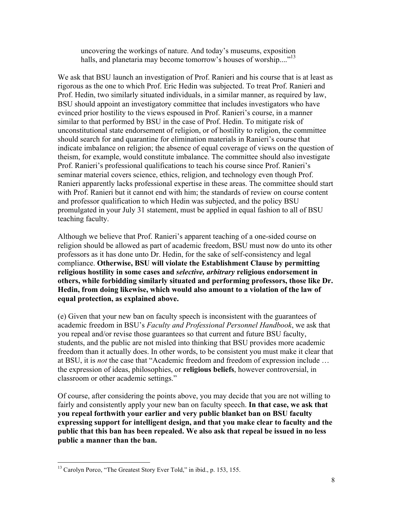uncovering the workings of nature. And today's museums, exposition halls, and planetaria may become tomorrow's houses of worship...."<sup>13</sup>

We ask that BSU launch an investigation of Prof. Ranieri and his course that is at least as rigorous as the one to which Prof. Eric Hedin was subjected. To treat Prof. Ranieri and Prof. Hedin, two similarly situated individuals, in a similar manner, as required by law, BSU should appoint an investigatory committee that includes investigators who have evinced prior hostility to the views espoused in Prof. Ranieri's course, in a manner similar to that performed by BSU in the case of Prof. Hedin. To mitigate risk of unconstitutional state endorsement of religion, or of hostility to religion, the committee should search for and quarantine for elimination materials in Ranieri's course that indicate imbalance on religion; the absence of equal coverage of views on the question of theism, for example, would constitute imbalance. The committee should also investigate Prof. Ranieri's professional qualifications to teach his course since Prof. Ranieri's seminar material covers science, ethics, religion, and technology even though Prof. Ranieri apparently lacks professional expertise in these areas. The committee should start with Prof. Ranieri but it cannot end with him; the standards of review on course content and professor qualification to which Hedin was subjected, and the policy BSU promulgated in your July 31 statement, must be applied in equal fashion to all of BSU teaching faculty.

Although we believe that Prof. Ranieri's apparent teaching of a one-sided course on religion should be allowed as part of academic freedom, BSU must now do unto its other professors as it has done unto Dr. Hedin, for the sake of self-consistency and legal compliance. **Otherwise, BSU will violate the Establishment Clause by permitting religious hostility in some cases and** *selective, arbitrary* **religious endorsement in others, while forbidding similarly situated and performing professors, those like Dr. Hedin, from doing likewise, which would also amount to a violation of the law of equal protection, as explained above.**

(e) Given that your new ban on faculty speech is inconsistent with the guarantees of academic freedom in BSU's *Faculty and Professional Personnel Handbook*, we ask that you repeal and/or revise those guarantees so that current and future BSU faculty, students, and the public are not misled into thinking that BSU provides more academic freedom than it actually does. In other words, to be consistent you must make it clear that at BSU, it is *not* the case that "Academic freedom and freedom of expression include … the expression of ideas, philosophies, or **religious beliefs**, however controversial, in classroom or other academic settings."

Of course, after considering the points above, you may decide that you are not willing to fairly and consistently apply your new ban on faculty speech. **In that case, we ask that you repeal forthwith your earlier and very public blanket ban on BSU faculty expressing support for intelligent design, and that you make clear to faculty and the public that this ban has been repealed. We also ask that repeal be issued in no less public a manner than the ban.**

<sup>&</sup>lt;sup>13</sup> Carolyn Porco, "The Greatest Story Ever Told," in ibid., p. 153, 155.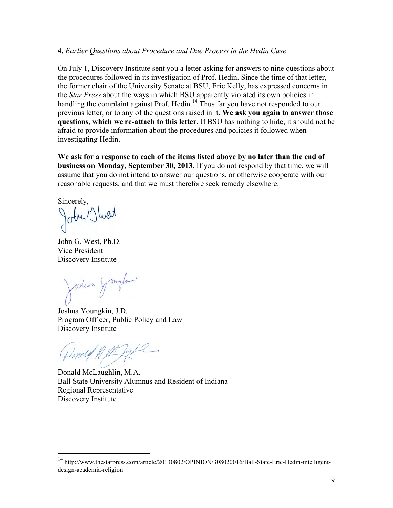#### 4. *Earlier Questions about Procedure and Due Process in the Hedin Case*

On July 1, Discovery Institute sent you a letter asking for answers to nine questions about the procedures followed in its investigation of Prof. Hedin. Since the time of that letter, the former chair of the University Senate at BSU, Eric Kelly, has expressed concerns in the *Star Press* about the ways in which BSU apparently violated its own policies in handling the complaint against Prof. Hedin.<sup>14</sup> Thus far you have not responded to our previous letter, or to any of the questions raised in it. **We ask you again to answer those questions, which we re-attach to this letter.** If BSU has nothing to hide, it should not be afraid to provide information about the procedures and policies it followed when investigating Hedin.

**We ask for a response to each of the items listed above by no later than the end of business on Monday, September 30, 2013.** If you do not respond by that time, we will assume that you do not intend to answer our questions, or otherwise cooperate with our reasonable requests, and that we must therefore seek remedy elsewhere.

Sincerely,

John Jwert

John G. West, Ph.D. Vice President Discovery Institute

Joshua Yough

Joshua Youngkin, J.D. Program Officer, Public Policy and Law Discovery Institute

Windley & file

Donald McLaughlin, M.A. Ball State University Alumnus and Resident of Indiana Regional Representative Discovery Institute

 <sup>14</sup> http://www.thestarpress.com/article/20130802/OPINION/308020016/Ball-State-Eric-Hedin-intelligentdesign-academia-religion